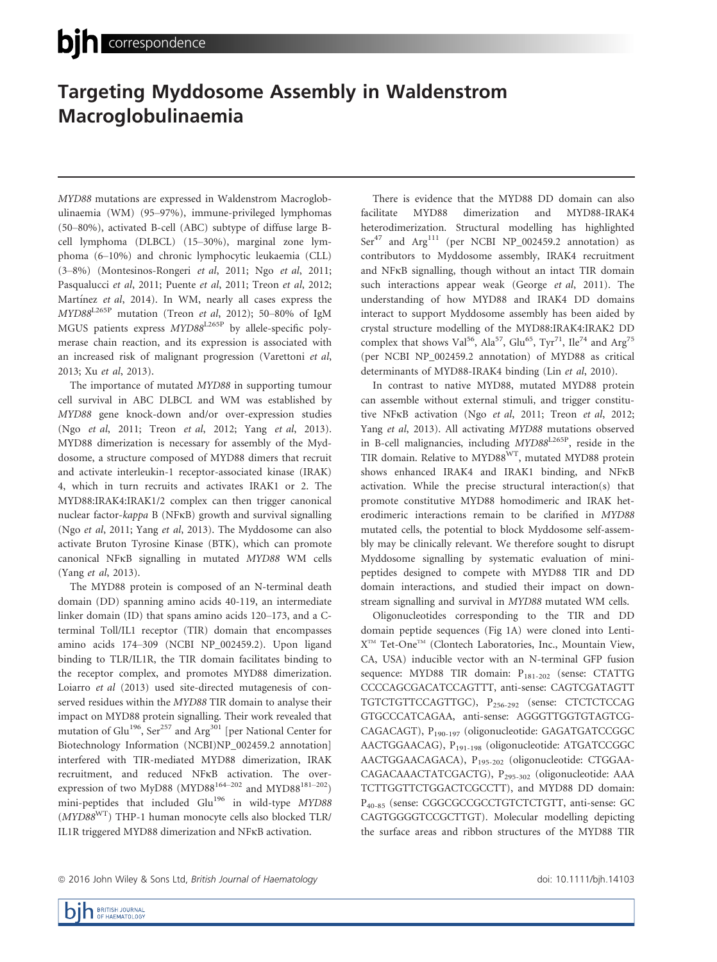# Targeting Myddosome Assembly in Waldenstrom Macroglobulinaemia

MYD88 mutations are expressed in Waldenstrom Macroglobulinaemia (WM) (95–97%), immune-privileged lymphomas (50–80%), activated B-cell (ABC) subtype of diffuse large Bcell lymphoma (DLBCL) (15–30%), marginal zone lymphoma (6–10%) and chronic lymphocytic leukaemia (CLL) (3–8%) (Montesinos-Rongeri et al, 2011; Ngo et al, 2011; Pasqualucci et al, 2011; Puente et al, 2011; Treon et al, 2012; Martínez et al, 2014). In WM, nearly all cases express the  $MYD88^{L265P}$  mutation (Treon et al, 2012); 50–80% of IgM MGUS patients express  $MYD88^{L265P}$  by allele-specific polymerase chain reaction, and its expression is associated with an increased risk of malignant progression (Varettoni et al, 2013; Xu et al, 2013).

The importance of mutated MYD88 in supporting tumour cell survival in ABC DLBCL and WM was established by MYD88 gene knock-down and/or over-expression studies (Ngo et al, 2011; Treon et al, 2012; Yang et al, 2013). MYD88 dimerization is necessary for assembly of the Myddosome, a structure composed of MYD88 dimers that recruit and activate interleukin-1 receptor-associated kinase (IRAK) 4, which in turn recruits and activates IRAK1 or 2. The MYD88:IRAK4:IRAK1/2 complex can then trigger canonical nuclear factor-kappa B (NFKB) growth and survival signalling (Ngo et al, 2011; Yang et al, 2013). The Myddosome can also activate Bruton Tyrosine Kinase (BTK), which can promote canonical NFKB signalling in mutated MYD88 WM cells (Yang et al, 2013).

The MYD88 protein is composed of an N-terminal death domain (DD) spanning amino acids 40-119, an intermediate linker domain (ID) that spans amino acids 120–173, and a Cterminal Toll/IL1 receptor (TIR) domain that encompasses amino acids 174–309 (NCBI NP\_002459.2). Upon ligand binding to TLR/IL1R, the TIR domain facilitates binding to the receptor complex, and promotes MYD88 dimerization. Loiarro et al (2013) used site-directed mutagenesis of conserved residues within the MYD88 TIR domain to analyse their impact on MYD88 protein signalling. Their work revealed that mutation of Glu<sup>196</sup>, Ser<sup>257</sup> and Arg<sup>301</sup> [per National Center for Biotechnology Information (NCBI)NP\_002459.2 annotation] interfered with TIR-mediated MYD88 dimerization, IRAK recruitment, and reduced NFKB activation. The overexpression of two MyD88 (MYD88<sup>164–202</sup> and MYD88<sup>181–202</sup>) mini-peptides that included Glu<sup>196</sup> in wild-type MYD88  $(MYD88<sup>WT</sup>)$  THP-1 human monocyte cells also blocked TLR/ IL1R triggered MYD88 dimerization and NFKB activation.

There is evidence that the MYD88 DD domain can also facilitate MYD88 dimerization and MYD88-IRAK4 heterodimerization. Structural modelling has highlighted  $\text{Ser}^{47}$  and  $\text{Arg}^{111}$  (per NCBI NP\_002459.2 annotation) as contributors to Myddosome assembly, IRAK4 recruitment and NFKB signalling, though without an intact TIR domain such interactions appear weak (George et al, 2011). The understanding of how MYD88 and IRAK4 DD domains interact to support Myddosome assembly has been aided by crystal structure modelling of the MYD88:IRAK4:IRAK2 DD complex that shows Val<sup>56</sup>, Ala<sup>57</sup>, Glu<sup>65</sup>, Tyr<sup>71</sup>, Ile<sup>74</sup> and Arg<sup>75</sup> (per NCBI NP\_002459.2 annotation) of MYD88 as critical determinants of MYD88-IRAK4 binding (Lin et al, 2010).

In contrast to native MYD88, mutated MYD88 protein can assemble without external stimuli, and trigger constitutive NFKB activation (Ngo et al, 2011; Treon et al, 2012; Yang et al, 2013). All activating MYD88 mutations observed in B-cell malignancies, including  $MYD88^{L265P}$ , reside in the TIR domain. Relative to MYD88<sup>WT</sup>, mutated MYD88 protein shows enhanced IRAK4 and IRAK1 binding, and NFKB activation. While the precise structural interaction(s) that promote constitutive MYD88 homodimeric and IRAK heterodimeric interactions remain to be clarified in MYD88 mutated cells, the potential to block Myddosome self-assembly may be clinically relevant. We therefore sought to disrupt Myddosome signalling by systematic evaluation of minipeptides designed to compete with MYD88 TIR and DD domain interactions, and studied their impact on downstream signalling and survival in MYD88 mutated WM cells.

Oligonucleotides corresponding to the TIR and DD domain peptide sequences (Fig 1A) were cloned into Lenti-X<sup>™</sup> Tet-One<sup>™</sup> (Clontech Laboratories, Inc., Mountain View, CA, USA) inducible vector with an N-terminal GFP fusion sequence: MYD88 TIR domain: P<sub>181-202</sub> (sense: CTATTG CCCCAGCGACATCCAGTTT, anti-sense: CAGTCGATAGTT TGTCTGTTCCAGTTGC), P256-292 (sense: CTCTCTCCAG GTGCCCATCAGAA, anti-sense: AGGGTTGGTGTAGTCG-CAGACAGT), P190-197 (oligonucleotide: GAGATGATCCGGC AACTGGAACAG), P191-198 (oligonucleotide: ATGATCCGGC AACTGGAACAGACA), P195-202 (oligonucleotide: CTGGAA-CAGACAAACTATCGACTG), P295-302 (oligonucleotide: AAA TCTTGGTTCTGGACTCGCCTT), and MYD88 DD domain: P40-85 (sense: CGGCGCCGCCTGTCTCTGTT, anti-sense: GC CAGTGGGGTCCGCTTGT). Molecular modelling depicting the surface areas and ribbon structures of the MYD88 TIR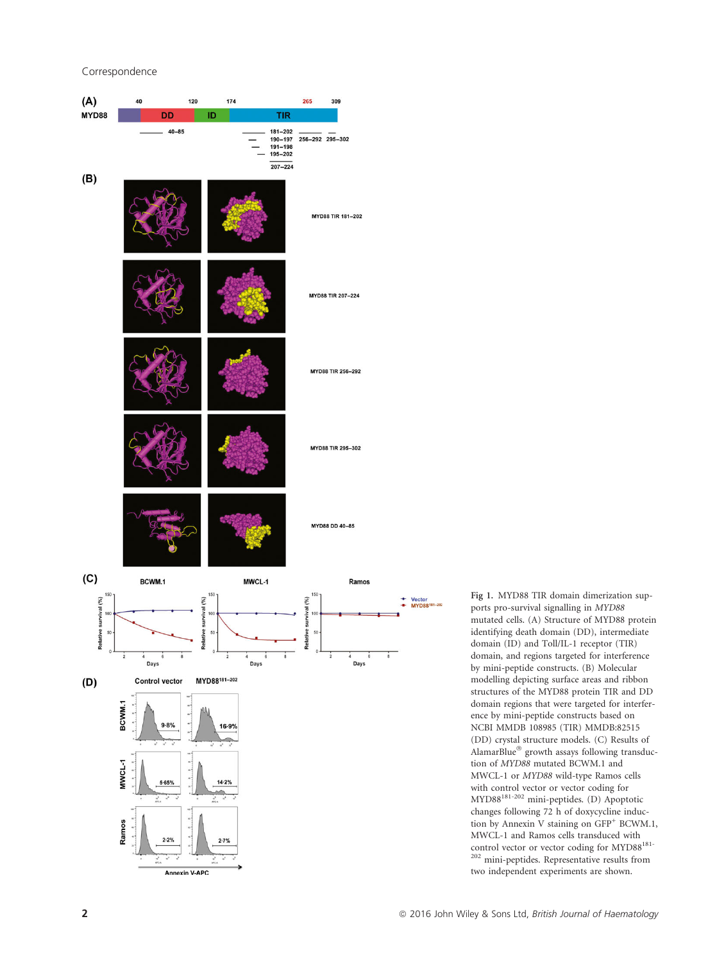Correspondence



Fig 1. MYD88 TIR domain dimerization supports pro-survival signalling in MYD88 mutated cells. (A) Structure of MYD88 protein identifying death domain (DD), intermediate domain (ID) and Toll/IL-1 receptor (TIR) domain, and regions targeted for interference by mini-peptide constructs. (B) Molecular modelling depicting surface areas and ribbon structures of the MYD88 protein TIR and DD domain regions that were targeted for interference by mini-peptide constructs based on NCBI MMDB 108985 (TIR) MMDB:82515 (DD) crystal structure models. (C) Results of AlamarBlue® growth assays following transduction of MYD88 mutated BCWM.1 and MWCL-1 or MYD88 wild-type Ramos cells with control vector or vector coding for<br>MYD88<sup>181-202</sup> mini-peptides. (D) Apoptotic changes following 72 h of doxycycline induction by Annexin V staining on GFP<sup>+</sup> BCWM.1, MWCL-1 and Ramos cells transduced with control vector or vector coding for MYD88<sup>181-</sup> <sup>202</sup> mini-peptides. Representative results from two independent experiments are shown.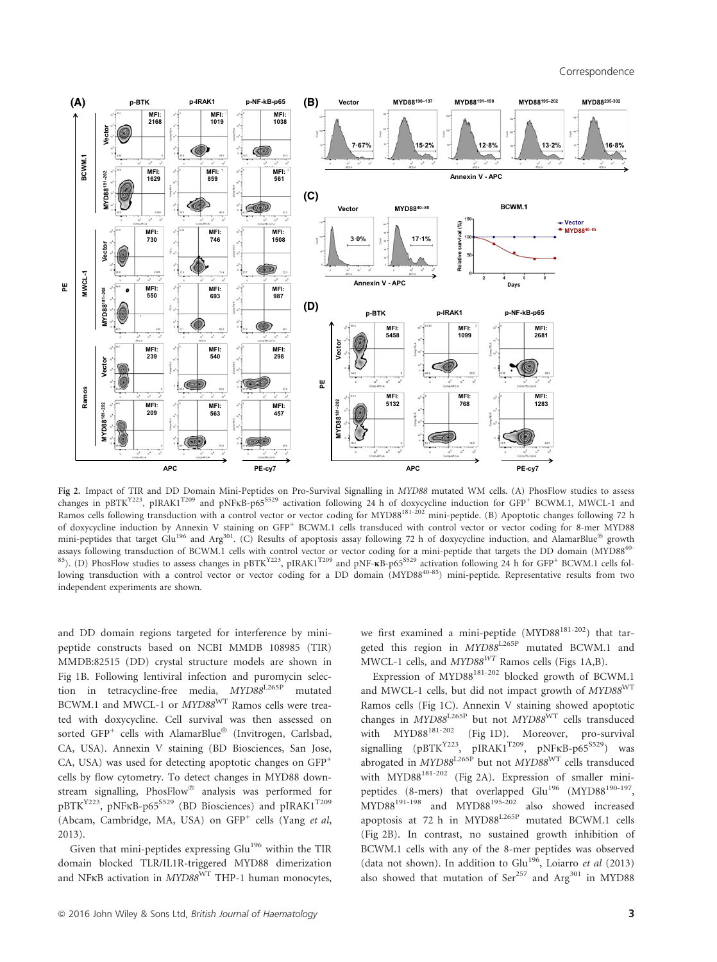

Fig 2. Impact of TIR and DD Domain Mini-Peptides on Pro-Survival Signalling in MYD88 mutated WM cells. (A) PhosFlow studies to assess changes in pBTK<sup>Y223</sup>, pIRAK1T209 and pNFKB-p65<sup>S529</sup> activation following 24 h of doxycycline induction for GFP<sup>+</sup> BCWM.1, MWCL-1 and Ramos cells following transduction with a control vector or vector coding for MYD88<sup>181-202</sup> mini-peptide. (B) Apoptotic changes following 72 h of doxycycline induction by Annexin V staining on GFP<sup>+</sup> BCWM.1 cells transduced with control vector or vector coding for 8-mer MYD88 mini-peptides that target Glu<sup>196</sup> and Arg<sup>301</sup>. (C) Results of apoptosis assay following 72 h of doxycycline induction, and AlamarBlue® growth assays following transduction of BCWM.1 cells with control vector or vector coding for a mini-peptide that targets the DD domain (MYD88<sup>40-</sup> <sup>85</sup>). (D) PhosFlow studies to assess changes in pBTK<sup>Y223</sup>, pIRAK1<sup>T209</sup> and pNF-KB-p65<sup>S529</sup> activation following 24 h for GFP<sup>+</sup> BCWM.1 cells following transduction with a control vector or vector coding for a DD domain (MYD88<sup>40-85</sup>) mini-peptide. Representative results from two independent experiments are shown.

and DD domain regions targeted for interference by minipeptide constructs based on NCBI MMDB 108985 (TIR) MMDB:82515 (DD) crystal structure models are shown in Fig 1B. Following lentiviral infection and puromycin selection in tetracycline-free media,  $MYD88^{L265P}$  mutated BCWM.1 and MWCL-1 or MYD88<sup>WT</sup> Ramos cells were treated with doxycycline. Cell survival was then assessed on sorted GFP<sup>+</sup> cells with AlamarBlue® (Invitrogen, Carlsbad, CA, USA). Annexin V staining (BD Biosciences, San Jose, CA, USA) was used for detecting apoptotic changes on  $GFP<sup>+</sup>$ cells by flow cytometry. To detect changes in MYD88 downstream signalling, PhosFlow® analysis was performed for  $pBTK<sup>Y223</sup>$ ,  $pNFkB-p65<sup>S529</sup>$  (BD Biosciences) and  $pIRAK1<sup>T209</sup>$ (Abcam, Cambridge, MA, USA) on  $GFP<sup>+</sup>$  cells (Yang et al, 2013).

Given that mini-peptides expressing  $Glu<sup>196</sup>$  within the TIR domain blocked TLR/IL1R-triggered MYD88 dimerization and NFKB activation in MYD88WT THP-1 human monocytes, we first examined a mini-peptide  $(MYD88^{181-202})$  that targeted this region in  $MYD88^{L265P}$  mutated BCWM.1 and MWCL-1 cells, and  $MYD88^{WT}$  Ramos cells (Figs 1A,B).

Expression of MYD88 $181-202$  blocked growth of BCWM.1 and MWCL-1 cells, but did not impact growth of MYD88WT Ramos cells (Fig 1C). Annexin V staining showed apoptotic changes in  $MYD88^{\text{L265P}}$  but not  $MYD88^{\text{WT}}$  cells transduced with MYD88<sup>181-202</sup> (Fig 1D). Moreover, pro-survival signalling ( $pBTK<sup>Y223</sup>$ ,  $pIRAK1<sup>T209</sup>$ ,  $pNFkB-p65<sup>S529</sup>$ ) was abrogated in MYD88<sup>L265P</sup> but not MYD88<sup>WT</sup> cells transduced with  $MYD88^{181-202}$  (Fig 2A). Expression of smaller minipeptides (8-mers) that overlapped Glu<sup>196</sup> (MYD88<sup>190-197</sup>, MYD88<sup>191-198</sup> and MYD88<sup>195-202</sup> also showed increased apoptosis at 72 h in MYD88L265P mutated BCWM.1 cells (Fig 2B). In contrast, no sustained growth inhibition of BCWM.1 cells with any of the 8-mer peptides was observed (data not shown). In addition to  $Glu^{196}$ , Loiarro et al (2013) also showed that mutation of Ser<sup>257</sup> and Arg<sup>301</sup> in MYD88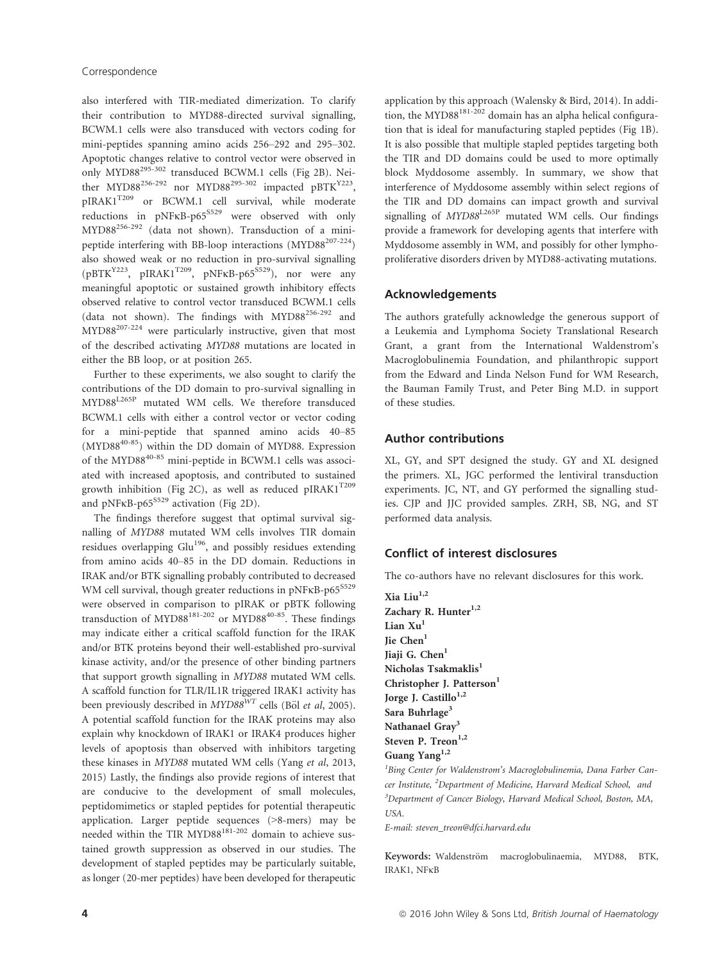also interfered with TIR-mediated dimerization. To clarify their contribution to MYD88-directed survival signalling, BCWM.1 cells were also transduced with vectors coding for mini-peptides spanning amino acids 256–292 and 295–302. Apoptotic changes relative to control vector were observed in only MYD88295-302 transduced BCWM.1 cells (Fig 2B). Neither MYD88<sup>256-292</sup> nor MYD88<sup>295-302</sup> impacted pBTK<sup>Y223</sup>, pIRAK1T209 or BCWM.1 cell survival, while moderate reductions in pNFKB-p65<sup>S529</sup> were observed with only MYD88256-292 (data not shown). Transduction of a minipeptide interfering with BB-loop interactions (MYD88<sup>207-224</sup>) also showed weak or no reduction in pro-survival signalling (pBTK<sup>Y223</sup>, pIRAK1<sup>T209</sup>, pNFKB-p65<sup>S529</sup>), nor were any meaningful apoptotic or sustained growth inhibitory effects observed relative to control vector transduced BCWM.1 cells (data not shown). The findings with  $MYD88^{256-292}$  and MYD88207-224 were particularly instructive, given that most of the described activating MYD88 mutations are located in either the BB loop, or at position 265.

Further to these experiments, we also sought to clarify the contributions of the DD domain to pro-survival signalling in MYD88L265P mutated WM cells. We therefore transduced BCWM.1 cells with either a control vector or vector coding for a mini-peptide that spanned amino acids 40–85  $(MYD88<sup>40-85</sup>)$  within the DD domain of MYD88. Expression of the MYD88<sup>40-85</sup> mini-peptide in BCWM.1 cells was associated with increased apoptosis, and contributed to sustained growth inhibition (Fig 2C), as well as reduced pIRAK1<sup>T209</sup> and  $pNFRB-p65^{5529}$  activation (Fig 2D).

The findings therefore suggest that optimal survival signalling of MYD88 mutated WM cells involves TIR domain residues overlapping Glu<sup>196</sup>, and possibly residues extending from amino acids 40–85 in the DD domain. Reductions in IRAK and/or BTK signalling probably contributed to decreased WM cell survival, though greater reductions in  $pNFR-165^{S529}$ were observed in comparison to pIRAK or pBTK following transduction of MYD88<sup>181-202</sup> or MYD88<sup>40-85</sup>. These findings may indicate either a critical scaffold function for the IRAK and/or BTK proteins beyond their well-established pro-survival kinase activity, and/or the presence of other binding partners that support growth signalling in MYD88 mutated WM cells. A scaffold function for TLR/IL1R triggered IRAK1 activity has been previously described in  $MYD88<sup>WT</sup>$  cells (Böl et al, 2005). A potential scaffold function for the IRAK proteins may also explain why knockdown of IRAK1 or IRAK4 produces higher levels of apoptosis than observed with inhibitors targeting these kinases in MYD88 mutated WM cells (Yang et al, 2013, 2015) Lastly, the findings also provide regions of interest that are conducive to the development of small molecules, peptidomimetics or stapled peptides for potential therapeutic application. Larger peptide sequences (>8-mers) may be needed within the TIR MYD88<sup>181-202</sup> domain to achieve sustained growth suppression as observed in our studies. The development of stapled peptides may be particularly suitable, as longer (20-mer peptides) have been developed for therapeutic application by this approach (Walensky & Bird, 2014). In addition, the MYD88<sup>181-202</sup> domain has an alpha helical configuration that is ideal for manufacturing stapled peptides (Fig 1B). It is also possible that multiple stapled peptides targeting both the TIR and DD domains could be used to more optimally block Myddosome assembly. In summary, we show that interference of Myddosome assembly within select regions of the TIR and DD domains can impact growth and survival signalling of MYD88<sup>L265P</sup> mutated WM cells. Our findings provide a framework for developing agents that interfere with Myddosome assembly in WM, and possibly for other lymphoproliferative disorders driven by MYD88-activating mutations.

### Acknowledgements

The authors gratefully acknowledge the generous support of a Leukemia and Lymphoma Society Translational Research Grant, a grant from the International Waldenstrom's Macroglobulinemia Foundation, and philanthropic support from the Edward and Linda Nelson Fund for WM Research, the Bauman Family Trust, and Peter Bing M.D. in support of these studies.

## Author contributions

XL, GY, and SPT designed the study. GY and XL designed the primers. XL, JGC performed the lentiviral transduction experiments. JC, NT, and GY performed the signalling studies. CJP and JJC provided samples. ZRH, SB, NG, and ST performed data analysis.

## Conflict of interest disclosures

The co-authors have no relevant disclosures for this work.

Xia Liu<br>Zochow: I Zachary R. Hunter<sup>1</sup><br>Lian Xu<sup>l</sup> Lian Xu<sup>1</sup><br>Jie Chen<sup>1</sup> Jiaji G. Chen<sup>1</sup> Nicholas Tsakmaklis<sup>1</sup> Christopher J. Patterson<sup>1</sup> Christopher J. Patterson<br>Jorge J. Coetille<sup>1,2</sup> Jorge J. Castillo<sup>1</sup><br>Sara Puhrlaga<sup>3</sup> Sara Buhrlage<sup>3</sup><br>Nathanael Gray<sup>3</sup> Steven P. Treon<sup>1,2</sup> Guang Yang<sup>1,2</sup>

**Guang Yang<sup>-, -</sup>**<br><sup>1</sup>Bing Center for Waldenstrom's Macroglobulinemia, Dana Farber Cancer Institute, <sup>2</sup>Department of Medicine, Harvard Medical School, and <sup>3</sup>Department of Cancer Biology, Harvard Medical School, Boston, MA, USA.

E-mail: steven\_treon@dfci.harvard.edu

Keywords: Waldenström macroglobulinaemia, MYD88, BTK, IRAK1, NF<sub>K</sub>B